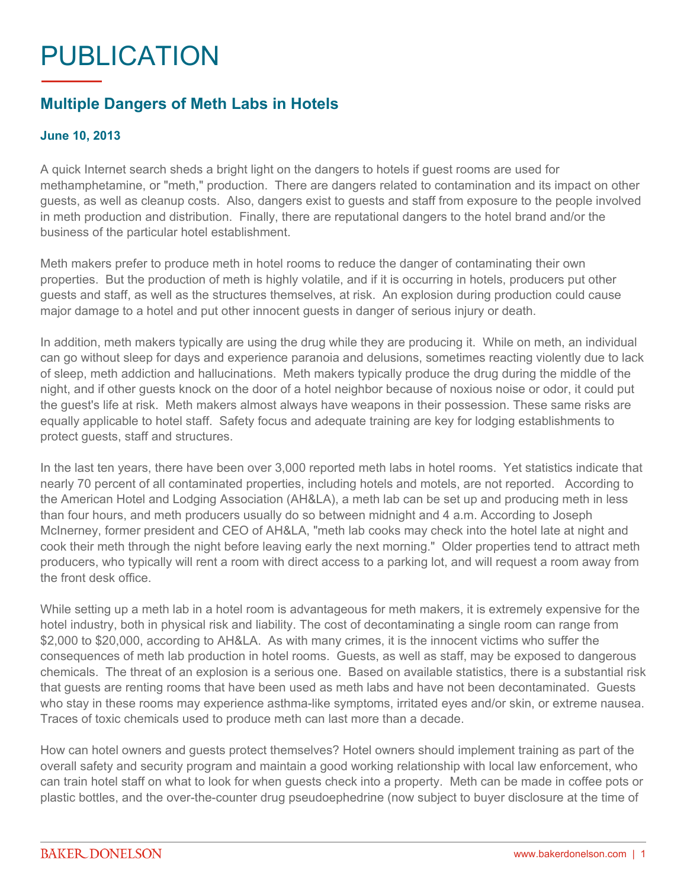## PUBLICATION

## **Multiple Dangers of Meth Labs in Hotels**

## **June 10, 2013**

A quick Internet search sheds a bright light on the dangers to hotels if guest rooms are used for methamphetamine, or "meth," production. There are dangers related to contamination and its impact on other guests, as well as cleanup costs. Also, dangers exist to guests and staff from exposure to the people involved in meth production and distribution. Finally, there are reputational dangers to the hotel brand and/or the business of the particular hotel establishment.

Meth makers prefer to produce meth in hotel rooms to reduce the danger of contaminating their own properties. But the production of meth is highly volatile, and if it is occurring in hotels, producers put other guests and staff, as well as the structures themselves, at risk. An explosion during production could cause major damage to a hotel and put other innocent guests in danger of serious injury or death.

In addition, meth makers typically are using the drug while they are producing it. While on meth, an individual can go without sleep for days and experience paranoia and delusions, sometimes reacting violently due to lack of sleep, meth addiction and hallucinations. Meth makers typically produce the drug during the middle of the night, and if other guests knock on the door of a hotel neighbor because of noxious noise or odor, it could put the guest's life at risk. Meth makers almost always have weapons in their possession. These same risks are equally applicable to hotel staff. Safety focus and adequate training are key for lodging establishments to protect guests, staff and structures.

In the last ten years, there have been over 3,000 reported meth labs in hotel rooms. Yet statistics indicate that nearly 70 percent of all contaminated properties, including hotels and motels, are not reported. According to the American Hotel and Lodging Association (AH&LA), a meth lab can be set up and producing meth in less than four hours, and meth producers usually do so between midnight and 4 a.m. According to Joseph McInerney, former president and CEO of AH&LA, "meth lab cooks may check into the hotel late at night and cook their meth through the night before leaving early the next morning." Older properties tend to attract meth producers, who typically will rent a room with direct access to a parking lot, and will request a room away from the front desk office.

While setting up a meth lab in a hotel room is advantageous for meth makers, it is extremely expensive for the hotel industry, both in physical risk and liability. The cost of decontaminating a single room can range from \$2,000 to \$20,000, according to AH&LA. As with many crimes, it is the innocent victims who suffer the consequences of meth lab production in hotel rooms. Guests, as well as staff, may be exposed to dangerous chemicals. The threat of an explosion is a serious one. Based on available statistics, there is a substantial risk that guests are renting rooms that have been used as meth labs and have not been decontaminated. Guests who stay in these rooms may experience asthma-like symptoms, irritated eyes and/or skin, or extreme nausea. Traces of toxic chemicals used to produce meth can last more than a decade.

How can hotel owners and guests protect themselves? Hotel owners should implement training as part of the overall safety and security program and maintain a good working relationship with local law enforcement, who can train hotel staff on what to look for when guests check into a property. Meth can be made in coffee pots or plastic bottles, and the over-the-counter drug pseudoephedrine (now subject to buyer disclosure at the time of